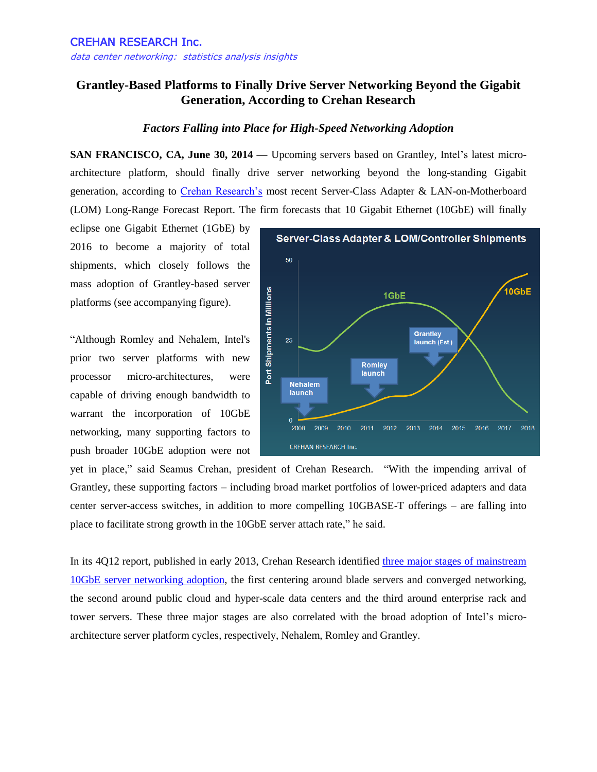## **Grantley-Based Platforms to Finally Drive Server Networking Beyond the Gigabit Generation, According to Crehan Research**

## *Factors Falling into Place for High-Speed Networking Adoption*

**SAN FRANCISCO, CA, June 30, 2014 —** Upcoming servers based on Grantley, Intel's latest microarchitecture platform, should finally drive server networking beyond the long-standing Gigabit generation, according to [Crehan Research's](http://www.crehanresearch.com/) most recent Server-Class Adapter & LAN-on-Motherboard (LOM) Long-Range Forecast Report. The firm forecasts that 10 Gigabit Ethernet (10GbE) will finally

eclipse one Gigabit Ethernet (1GbE) by 2016 to become a majority of total shipments, which closely follows the mass adoption of Grantley-based server platforms (see accompanying figure).

"Although Romley and Nehalem, Intel's prior two server platforms with new processor micro-architectures, were capable of driving enough bandwidth to warrant the incorporation of 10GbE networking, many supporting factors to push broader 10GbE adoption were not



yet in place," said Seamus Crehan, president of Crehan Research. "With the impending arrival of Grantley, these supporting factors – including broad market portfolios of lower-priced adapters and data center server-access switches, in addition to more compelling 10GBASE-T offerings – are falling into place to facilitate strong growth in the 10GbE server attach rate," he said.

In its 4Q12 report, published in early 2013, Crehan Research identified [three major stages of mainstream](http://www.prnewswire.com/news-releases/10-gigabit-ethernet-10gbe-enters-next-major-stage-of-volume-server-adoption-191808991.html)  [10GbE server networking adoption,](http://www.prnewswire.com/news-releases/10-gigabit-ethernet-10gbe-enters-next-major-stage-of-volume-server-adoption-191808991.html) the first centering around blade servers and converged networking, the second around public cloud and hyper-scale data centers and the third around enterprise rack and tower servers. These three major stages are also correlated with the broad adoption of Intel's microarchitecture server platform cycles, respectively, Nehalem, Romley and Grantley.